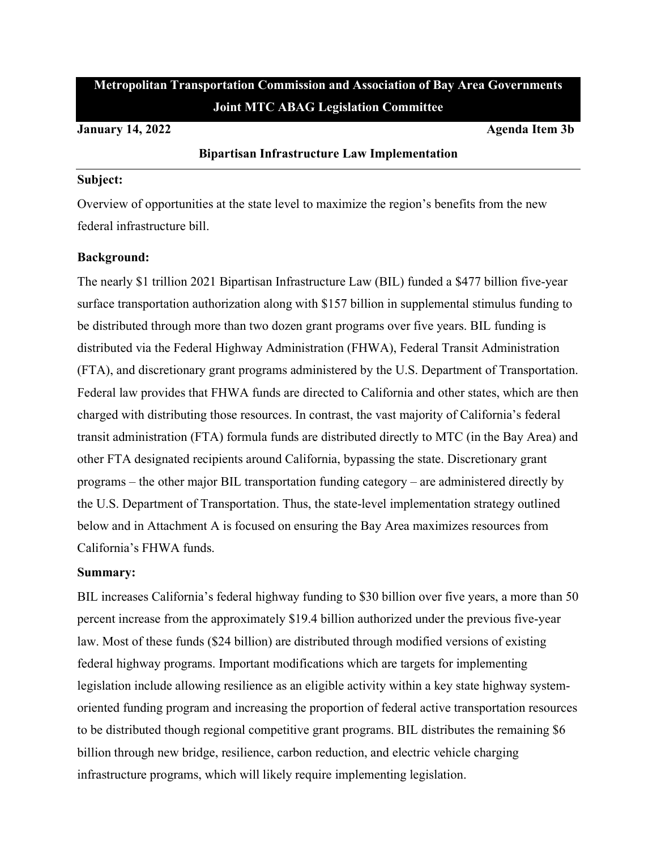# **Metropolitan Transportation Commission and Association of Bay Area Governments Joint MTC ABAG Legislation Committee**

#### **January 14, 2022 Agenda Item 3b**

#### **Bipartisan Infrastructure Law Implementation**

#### **Subject:**

Overview of opportunities at the state level to maximize the region's benefits from the new federal infrastructure bill.

#### **Background:**

The nearly \$1 trillion 2021 Bipartisan Infrastructure Law (BIL) funded a \$477 billion five-year surface transportation authorization along with \$157 billion in supplemental stimulus funding to be distributed through more than two dozen grant programs over five years. BIL funding is distributed via the Federal Highway Administration (FHWA), Federal Transit Administration (FTA), and discretionary grant programs administered by the U.S. Department of Transportation. Federal law provides that FHWA funds are directed to California and other states, which are then charged with distributing those resources. In contrast, the vast majority of California's federal transit administration (FTA) formula funds are distributed directly to MTC (in the Bay Area) and other FTA designated recipients around California, bypassing the state. Discretionary grant programs – the other major BIL transportation funding category – are administered directly by the U.S. Department of Transportation. Thus, the state-level implementation strategy outlined below and in Attachment A is focused on ensuring the Bay Area maximizes resources from California's FHWA funds.

#### **Summary:**

BIL increases California's federal highway funding to \$30 billion over five years, a more than 50 percent increase from the approximately \$19.4 billion authorized under the previous five-year law. Most of these funds (\$24 billion) are distributed through modified versions of existing federal highway programs. Important modifications which are targets for implementing legislation include allowing resilience as an eligible activity within a key state highway systemoriented funding program and increasing the proportion of federal active transportation resources to be distributed though regional competitive grant programs. BIL distributes the remaining \$6 billion through new bridge, resilience, carbon reduction, and electric vehicle charging infrastructure programs, which will likely require implementing legislation.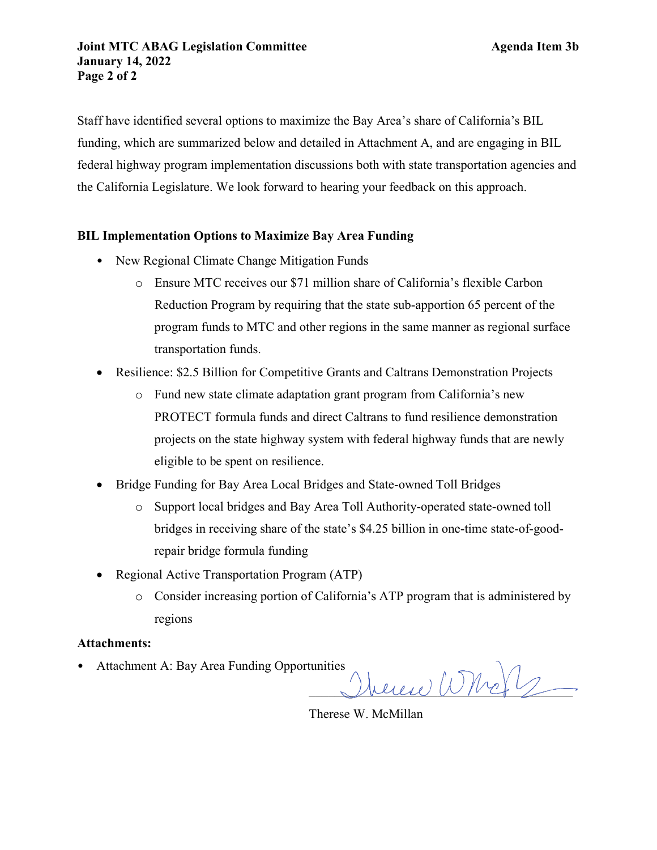Staff have identified several options to maximize the Bay Area's share of California's BIL funding, which are summarized below and detailed in Attachment A, and are engaging in BIL federal highway program implementation discussions both with state transportation agencies and the California Legislature. We look forward to hearing your feedback on this approach.

# **BIL Implementation Options to Maximize Bay Area Funding**

- New Regional Climate Change Mitigation Funds
	- o Ensure MTC receives our \$71 million share of California's flexible Carbon Reduction Program by requiring that the state sub-apportion 65 percent of the program funds to MTC and other regions in the same manner as regional surface transportation funds.
- Resilience: \$2.5 Billion for Competitive Grants and Caltrans Demonstration Projects
	- o Fund new state climate adaptation grant program from California's new PROTECT formula funds and direct Caltrans to fund resilience demonstration projects on the state highway system with federal highway funds that are newly eligible to be spent on resilience.
- Bridge Funding for Bay Area Local Bridges and State-owned Toll Bridges
	- o Support local bridges and Bay Area Toll Authority-operated state-owned toll bridges in receiving share of the state's \$4.25 billion in one-time state-of-goodrepair bridge formula funding
- Regional Active Transportation Program (ATP)
	- o Consider increasing portion of California's ATP program that is administered by regions

#### **Attachments:**

• Attachment A: Bay Area Funding Opportunities

 $\text{Area}$   $\text{W}(n+1)$ 

Therese W. McMillan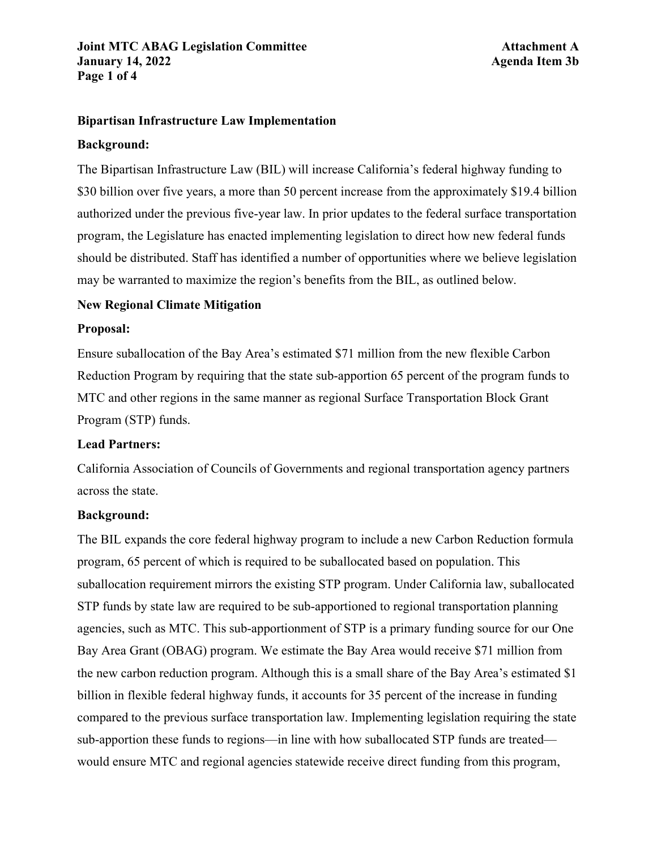# **Joint MTC ABAG Legislation Committee <b>Attachment A January 14, 2022 Agenda Item 3b Page 1 of 4**

## **Bipartisan Infrastructure Law Implementation**

#### **Background:**

The Bipartisan Infrastructure Law (BIL) will increase California's federal highway funding to \$30 billion over five years, a more than 50 percent increase from the approximately \$19.4 billion authorized under the previous five-year law. In prior updates to the federal surface transportation program, the Legislature has enacted implementing legislation to direct how new federal funds should be distributed. Staff has identified a number of opportunities where we believe legislation may be warranted to maximize the region's benefits from the BIL, as outlined below.

## **New Regional Climate Mitigation**

#### **Proposal:**

Ensure suballocation of the Bay Area's estimated \$71 million from the new flexible Carbon Reduction Program by requiring that the state sub-apportion 65 percent of the program funds to MTC and other regions in the same manner as regional Surface Transportation Block Grant Program (STP) funds.

#### **Lead Partners:**

California Association of Councils of Governments and regional transportation agency partners across the state.

#### **Background:**

The BIL expands the core federal highway program to include a new Carbon Reduction formula program, 65 percent of which is required to be suballocated based on population. This suballocation requirement mirrors the existing STP program. Under California law, suballocated STP funds by state law are required to be sub-apportioned to regional transportation planning agencies, such as MTC. This sub-apportionment of STP is a primary funding source for our One Bay Area Grant (OBAG) program. We estimate the Bay Area would receive \$71 million from the new carbon reduction program. Although this is a small share of the Bay Area's estimated \$1 billion in flexible federal highway funds, it accounts for 35 percent of the increase in funding compared to the previous surface transportation law. Implementing legislation requiring the state sub-apportion these funds to regions—in line with how suballocated STP funds are treated would ensure MTC and regional agencies statewide receive direct funding from this program,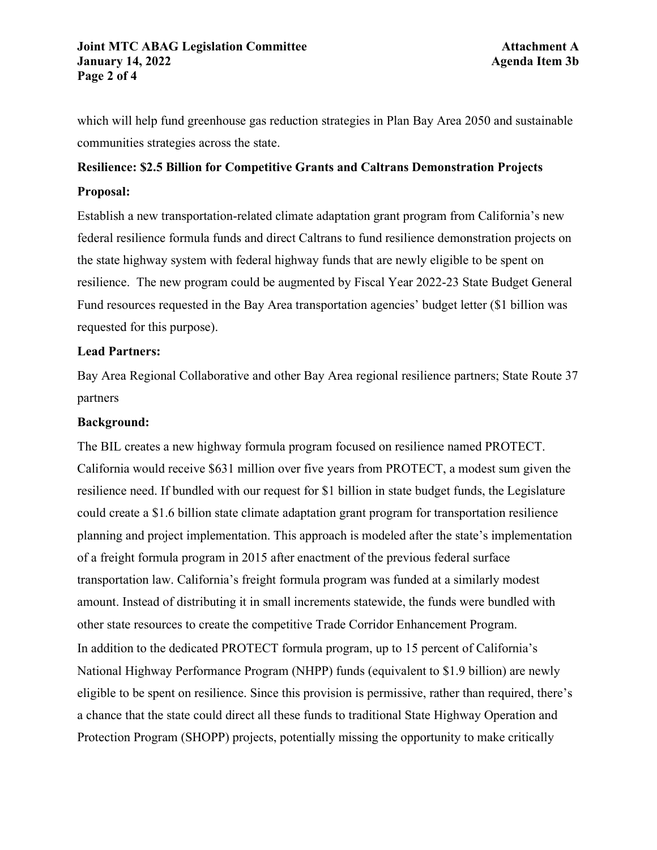# **Joint MTC ABAG Legislation Committee <b>Attachment A January 14, 2022 Agenda Item 3b Page 2 of 4**

which will help fund greenhouse gas reduction strategies in Plan Bay Area 2050 and sustainable communities strategies across the state.

# **Resilience: \$2.5 Billion for Competitive Grants and Caltrans Demonstration Projects Proposal:**

Establish a new transportation-related climate adaptation grant program from California's new federal resilience formula funds and direct Caltrans to fund resilience demonstration projects on the state highway system with federal highway funds that are newly eligible to be spent on resilience. The new program could be augmented by Fiscal Year 2022-23 State Budget General Fund resources requested in the Bay Area transportation agencies' budget letter (\$1 billion was requested for this purpose).

# **Lead Partners:**

Bay Area Regional Collaborative and other Bay Area regional resilience partners; State Route 37 partners

# **Background:**

The BIL creates a new highway formula program focused on resilience named PROTECT. California would receive \$631 million over five years from PROTECT, a modest sum given the resilience need. If bundled with our request for \$1 billion in state budget funds, the Legislature could create a \$1.6 billion state climate adaptation grant program for transportation resilience planning and project implementation. This approach is modeled after the state's implementation of a freight formula program in 2015 after enactment of the previous federal surface transportation law. California's freight formula program was funded at a similarly modest amount. Instead of distributing it in small increments statewide, the funds were bundled with other state resources to create the competitive Trade Corridor Enhancement Program. In addition to the dedicated PROTECT formula program, up to 15 percent of California's National Highway Performance Program (NHPP) funds (equivalent to \$1.9 billion) are newly eligible to be spent on resilience. Since this provision is permissive, rather than required, there's a chance that the state could direct all these funds to traditional State Highway Operation and Protection Program (SHOPP) projects, potentially missing the opportunity to make critically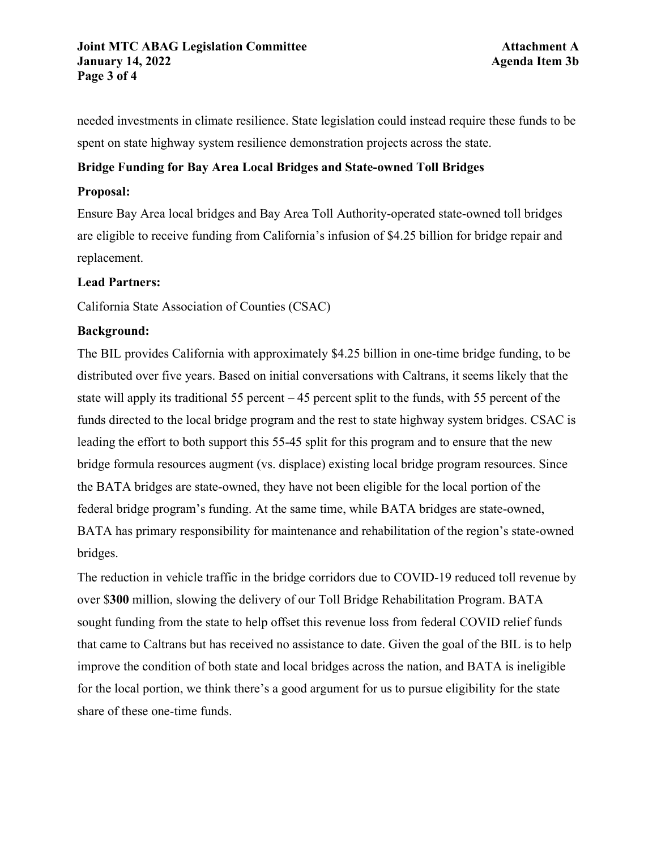## **Joint MTC ABAG Legislation Committee <b>Attachment A January 14, 2022 Agenda Item 3b Page 3 of 4**

needed investments in climate resilience. State legislation could instead require these funds to be spent on state highway system resilience demonstration projects across the state.

# **Bridge Funding for Bay Area Local Bridges and State-owned Toll Bridges**

# **Proposal:**

Ensure Bay Area local bridges and Bay Area Toll Authority-operated state-owned toll bridges are eligible to receive funding from California's infusion of \$4.25 billion for bridge repair and replacement.

### **Lead Partners:**

California State Association of Counties (CSAC)

# **Background:**

The BIL provides California with approximately \$4.25 billion in one-time bridge funding, to be distributed over five years. Based on initial conversations with Caltrans, it seems likely that the state will apply its traditional 55 percent – 45 percent split to the funds, with 55 percent of the funds directed to the local bridge program and the rest to state highway system bridges. CSAC is leading the effort to both support this 55-45 split for this program and to ensure that the new bridge formula resources augment (vs. displace) existing local bridge program resources. Since the BATA bridges are state-owned, they have not been eligible for the local portion of the federal bridge program's funding. At the same time, while BATA bridges are state-owned, BATA has primary responsibility for maintenance and rehabilitation of the region's state-owned bridges.

The reduction in vehicle traffic in the bridge corridors due to COVID-19 reduced toll revenue by over \$**300** million, slowing the delivery of our Toll Bridge Rehabilitation Program. BATA sought funding from the state to help offset this revenue loss from federal COVID relief funds that came to Caltrans but has received no assistance to date. Given the goal of the BIL is to help improve the condition of both state and local bridges across the nation, and BATA is ineligible for the local portion, we think there's a good argument for us to pursue eligibility for the state share of these one-time funds.